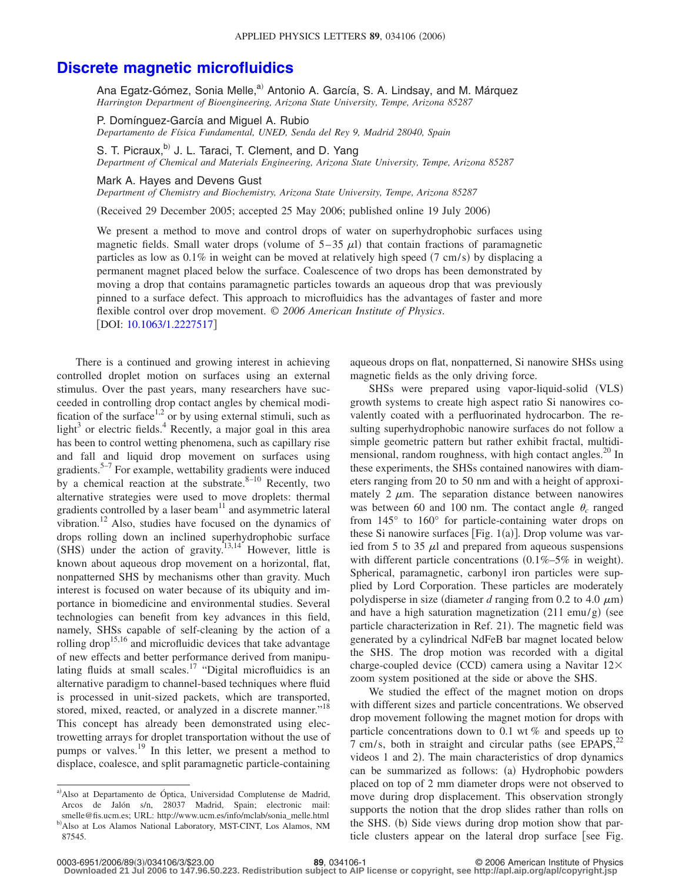## **[Discrete magnetic microfluidics](http://dx.doi.org/10.1063/1.2227517)**

Ana Egatz-Gómez, Sonia Melle,<sup>a)</sup> Antonio A. García, S. A. Lindsay, and M. Márquez *Harrington Department of Bioengineering, Arizona State University, Tempe, Arizona 85287*

P. Domínguez-García and Miguel A. Rubio *Departamento de Física Fundamental, UNED, Senda del Rey 9, Madrid 28040, Spain*

S. T. Picraux,<sup>b)</sup> J. L. Taraci, T. Clement, and D. Yang *Department of Chemical and Materials Engineering, Arizona State University, Tempe, Arizona 85287*

Mark A. Hayes and Devens Gust

*Department of Chemistry and Biochemistry, Arizona State University, Tempe, Arizona 85287*

(Received 29 December 2005; accepted 25 May 2006; published online 19 July 2006)

We present a method to move and control drops of water on superhydrophobic surfaces using magnetic fields. Small water drops (volume of  $5-35 \mu l$ ) that contain fractions of paramagnetic particles as low as 0.1% in weight can be moved at relatively high speed (7 cm/s) by displacing a permanent magnet placed below the surface. Coalescence of two drops has been demonstrated by moving a drop that contains paramagnetic particles towards an aqueous drop that was previously pinned to a surface defect. This approach to microfluidics has the advantages of faster and more flexible control over drop movement. © *2006 American Institute of Physics*. DOI: [10.1063/1.2227517](http://dx.doi.org/10.1063/1.2227517)

There is a continued and growing interest in achieving controlled droplet motion on surfaces using an external stimulus. Over the past years, many researchers have succeeded in controlling drop contact angles by chemical modification of the surface<sup>1,2</sup> or by using external stimuli, such as light<sup>3</sup> or electric fields.<sup>4</sup> Recently, a major goal in this area has been to control wetting phenomena, such as capillary rise and fall and liquid drop movement on surfaces using gradients.<sup>5–7</sup> For example, wettability gradients were induced by a chemical reaction at the substrate.  $8-10$  Recently, two alternative strategies were used to move droplets: thermal gradients controlled by a laser beam $11$  and asymmetric lateral vibration.<sup>12</sup> Also, studies have focused on the dynamics of drops rolling down an inclined superhydrophobic surface  $(SHS)$  under the action of gravity.<sup>13,14</sup> However, little is known about aqueous drop movement on a horizontal, flat, nonpatterned SHS by mechanisms other than gravity. Much interest is focused on water because of its ubiquity and importance in biomedicine and environmental studies. Several technologies can benefit from key advances in this field, namely, SHSs capable of self-cleaning by the action of a rolling drop<sup>15,16</sup> and microfluidic devices that take advantage of new effects and better performance derived from manipulating fluids at small scales.<sup>17</sup> "Digital microfluidics is an alternative paradigm to channel-based techniques where fluid is processed in unit-sized packets, which are transported, stored, mixed, reacted, or analyzed in a discrete manner."<sup>18</sup> This concept has already been demonstrated using electrowetting arrays for droplet transportation without the use of pumps or valves.19 In this letter, we present a method to displace, coalesce, and split paramagnetic particle-containing

aqueous drops on flat, nonpatterned, Si nanowire SHSs using magnetic fields as the only driving force.

SHSs were prepared using vapor-liquid-solid (VLS) growth systems to create high aspect ratio Si nanowires covalently coated with a perfluorinated hydrocarbon. The resulting superhydrophobic nanowire surfaces do not follow a simple geometric pattern but rather exhibit fractal, multidimensional, random roughness, with high contact angles. $^{20}$  In these experiments, the SHSs contained nanowires with diameters ranging from 20 to 50 nm and with a height of approximately 2  $\mu$ m. The separation distance between nanowires was between 60 and 100 nm. The contact angle  $\theta_c$  ranged from 145° to 160° for particle-containing water drops on these Si nanowire surfaces [Fig.  $1(a)$ ]. Drop volume was varied from 5 to 35  $\mu$ l and prepared from aqueous suspensions with different particle concentrations  $(0.1\% - 5\%$  in weight). Spherical, paramagnetic, carbonyl iron particles were supplied by Lord Corporation. These particles are moderately polydisperse in size (diameter  $d$  ranging from 0.2 to 4.0  $\mu$ m) and have a high saturation magnetization  $(211 \text{ emu/g})$  (see particle characterization in Ref. 21). The magnetic field was generated by a cylindrical NdFeB bar magnet located below the SHS. The drop motion was recorded with a digital charge-coupled device (CCD) camera using a Navitar 12× zoom system positioned at the side or above the SHS.

We studied the effect of the magnet motion on drops with different sizes and particle concentrations. We observed drop movement following the magnet motion for drops with particle concentrations down to 0.1 wt % and speeds up to 7 cm/s, both in straight and circular paths (see EPAPS, $^{22}$ ) videos 1 and 2). The main characteristics of drop dynamics can be summarized as follows: (a) Hydrophobic powders placed on top of 2 mm diameter drops were not observed to move during drop displacement. This observation strongly supports the notion that the drop slides rather than rolls on the SHS. (b) Side views during drop motion show that particle clusters appear on the lateral drop surface [see Fig.

a) Also at Departamento de Óptica, Universidad Complutense de Madrid, Arcos de Jalón s/n, 28037 Madrid, Spain; electronic mail: smelle@fis.ucm.es; URL: http://www.ucm.es/info/mclab/sonia\_melle.html b) Also at Los Alamos National Laboratory, MST-CINT, Los Alamos, NM 87545.

<sup>3</sup>/034106/3/\$23.00 © 2006 American Institute of Physics **89**, 034106-1 **Downloaded 21 Jul 2006 to 147.96.50.223. Redistribution subject to AIP license or copyright, see http://apl.aip.org/apl/copyright.jsp**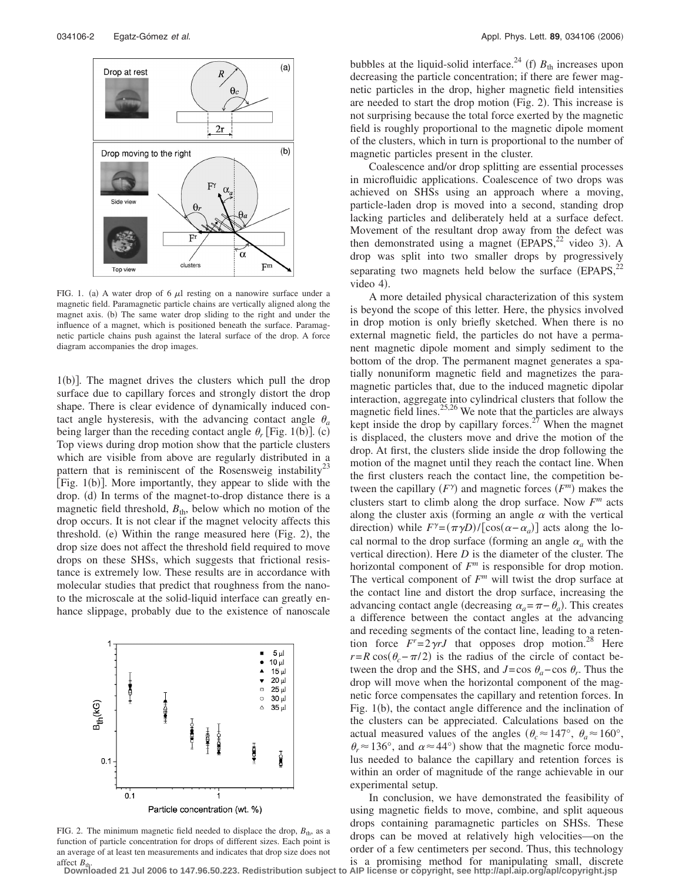

FIG. 1. (a) A water drop of 6  $\mu$ l resting on a nanowire surface under a magnetic field. Paramagnetic particle chains are vertically aligned along the magnet axis. (b) The same water drop sliding to the right and under the influence of a magnet, which is positioned beneath the surface. Paramagnetic particle chains push against the lateral surface of the drop. A force diagram accompanies the drop images.

1(b)]. The magnet drives the clusters which pull the drop surface due to capillary forces and strongly distort the drop shape. There is clear evidence of dynamically induced contact angle hysteresis, with the advancing contact angle  $\theta_a$ being larger than the receding contact angle  $\theta_r$  [Fig. 1(b)]. (c) Top views during drop motion show that the particle clusters which are visible from above are regularly distributed in a pattern that is reminiscent of the Rosensweig instability<sup>23</sup> [Fig. 1(b)]. More importantly, they appear to slide with the drop. (d) In terms of the magnet-to-drop distance there is a magnetic field threshold,  $B_{th}$ , below which no motion of the drop occurs. It is not clear if the magnet velocity affects this threshold. (e) Within the range measured here (Fig. 2), the drop size does not affect the threshold field required to move drops on these SHSs, which suggests that frictional resistance is extremely low. These results are in accordance with molecular studies that predict that roughness from the nanoto the microscale at the solid-liquid interface can greatly enhance slippage, probably due to the existence of nanoscale



Particle concentration (wt. %)

FIG. 2. The minimum magnetic field needed to displace the drop,  $B_{\text{th}}$ , as a function of particle concentration for drops of different sizes. Each point is an average of at least ten measurements and indicates that drop size does not affect  $B_{\text{th}}$ 

bubbles at the liquid-solid interface.<sup>24</sup> (f)  $B_{th}$  increases upon decreasing the particle concentration; if there are fewer magnetic particles in the drop, higher magnetic field intensities are needed to start the drop motion (Fig. 2). This increase is not surprising because the total force exerted by the magnetic field is roughly proportional to the magnetic dipole moment of the clusters, which in turn is proportional to the number of magnetic particles present in the cluster.

Coalescence and/or drop splitting are essential processes in microfluidic applications. Coalescence of two drops was achieved on SHSs using an approach where a moving, particle-laden drop is moved into a second, standing drop lacking particles and deliberately held at a surface defect. Movement of the resultant drop away from the defect was then demonstrated using a magnet  $(EPAPS, <sup>22</sup>$  video 3). A drop was split into two smaller drops by progressively separating two magnets held below the surface  $(EPAPS, <sup>22</sup>)$ video 4).

A more detailed physical characterization of this system is beyond the scope of this letter. Here, the physics involved in drop motion is only briefly sketched. When there is no external magnetic field, the particles do not have a permanent magnetic dipole moment and simply sediment to the bottom of the drop. The permanent magnet generates a spatially nonuniform magnetic field and magnetizes the paramagnetic particles that, due to the induced magnetic dipolar interaction, aggregate into cylindrical clusters that follow the magnetic field lines.25,26 We note that the particles are always kept inside the drop by capillary forces.<sup>27</sup> When the magnet is displaced, the clusters move and drive the motion of the drop. At first, the clusters slide inside the drop following the motion of the magnet until they reach the contact line. When the first clusters reach the contact line, the competition between the capillary  $(F^{\gamma})$  and magnetic forces  $(F^m)$  makes the clusters start to climb along the drop surface. Now  $F^m$  acts along the cluster axis (forming an angle  $\alpha$  with the vertical direction) while  $F^{\gamma} = (\pi \gamma D) / [\cos(\alpha - \alpha_a)]$  acts along the local normal to the drop surface (forming an angle  $\alpha_a$  with the vertical direction). Here  $D$  is the diameter of the cluster. The horizontal component of  $F<sup>m</sup>$  is responsible for drop motion. The vertical component of *F<sup>m</sup>* will twist the drop surface at the contact line and distort the drop surface, increasing the advancing contact angle (decreasing  $\alpha_a = \pi - \theta_a$ ). This creates a difference between the contact angles at the advancing and receding segments of the contact line, leading to a retention force  $F = 2 \gamma r J$  that opposes drop motion.<sup>28</sup> Here  $r = R \cos(\theta_c - \pi/2)$  is the radius of the circle of contact between the drop and the SHS, and  $J = \cos \theta_a - \cos \theta_r$ . Thus the drop will move when the horizontal component of the magnetic force compensates the capillary and retention forces. In Fig. 1(b), the contact angle difference and the inclination of the clusters can be appreciated. Calculations based on the actual measured values of the angles ( $\theta_c \approx 147^\circ$ ,  $\theta_a \approx 160^\circ$ ,  $\theta_r \approx 136^\circ$ , and  $\alpha \approx 44^\circ$ ) show that the magnetic force modulus needed to balance the capillary and retention forces is within an order of magnitude of the range achievable in our experimental setup.

In conclusion, we have demonstrated the feasibility of using magnetic fields to move, combine, and split aqueous drops containing paramagnetic particles on SHSs. These drops can be moved at relatively high velocities—on the order of a few centimeters per second. Thus, this technology is a promising method for manipulating small, discrete

**Downloaded 21 Jul 2006 to 147.96.50.223. Redistribution subject to AIP license or copyright, see http://apl.aip.org/apl/copyright.jsp**